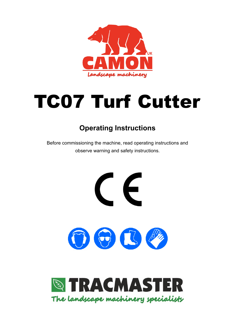

# TC07 Turf Cutter

# **Operating Instructions**

Before commissioning the machine, read operating instructions and observe warning and safety instructions.

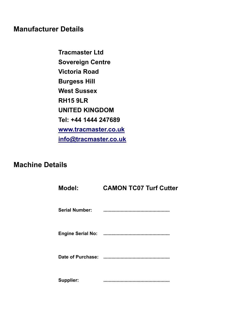# **Manufacturer Details**

**Tracmaster Ltd Sovereign Centre Victoria Road Burgess Hill West Sussex RH15 9LR UNITED KINGDOM Tel: +44 1444 247689 [www.tracmaster.co.uk](http://www.tracmaster.co.uk/) [info@tracmaster.co.uk](mailto:info@tracmaster.co.uk)**

# **Machine Details**

| <b>Model:</b>         | <b>CAMON TC07 Turf Cutter</b>                                                                                 |
|-----------------------|---------------------------------------------------------------------------------------------------------------|
| <b>Serial Number:</b> | and a state of the state of the state of the state of the state of the state of the state of the state of the |
|                       |                                                                                                               |
| Date of Purchase:     |                                                                                                               |
| <b>Supplier:</b>      |                                                                                                               |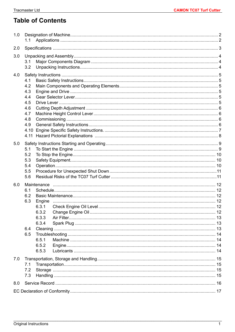# **Table of Contents**

| 1.0 | 1.1                                                                                            |  |
|-----|------------------------------------------------------------------------------------------------|--|
| 2.0 |                                                                                                |  |
| 3.0 | 3.1<br>3.2                                                                                     |  |
| 4.0 | 4.1<br>4.2<br>4.3<br>4.4<br>4.5<br>4.6<br>4.7<br>4.8<br>4.9<br>4.10<br>4.11                    |  |
| 5.0 | 5.1<br>5.2<br>5.3<br>5.4<br>5.5<br>5.6                                                         |  |
| 6.0 | 6.1<br>6.2<br>6.3<br>6.3.1<br>6.3.2<br>6.3.3<br>6.3.4<br>6.4<br>6.5<br>6.5.1<br>6.5.2<br>6.5.3 |  |
| 7.0 | 7.1<br>7.2<br>7.3                                                                              |  |
| 8.0 |                                                                                                |  |
|     |                                                                                                |  |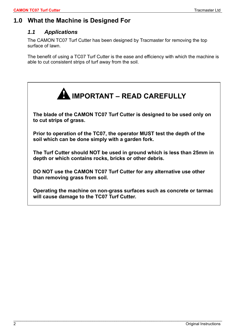# <span id="page-3-1"></span><span id="page-3-0"></span>**1.0 What the Machine is Designed For**

## *1.1 Applications*

The CAMON TC07 Turf Cutter has been designed by Tracmaster for removing the top surface of lawn.

The benefit of using a TC07 Turf Cutter is the ease and efficiency with which the machine is able to cut consistent strips of turf away from the soil.

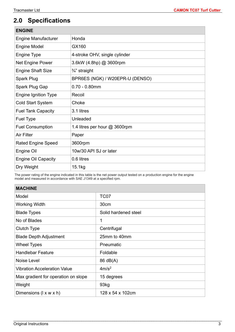# <span id="page-4-0"></span>**2.0 Specifications**

| <b>ENGINE</b>               |                                 |
|-----------------------------|---------------------------------|
| <b>Engine Manufacturer</b>  | Honda                           |
| <b>Engine Model</b>         | GX160                           |
| Engine Type                 | 4-stroke OHV, single cylinder   |
| Net Engine Power            | 3.6kW (4.8hp) @ 3600rpm         |
| <b>Engine Shaft Size</b>    | $\frac{3}{4}$ " straight        |
| <b>Spark Plug</b>           | BPR6ES (NGK) / W20EPR-U (DENSO) |
| Spark Plug Gap              | $0.70 - 0.80$ mm                |
| <b>Engine Ignition Type</b> | Recoil                          |
| <b>Cold Start System</b>    | Choke                           |
| <b>Fuel Tank Capacity</b>   | 3.1 litres                      |
| Fuel Type                   | Unleaded                        |
| <b>Fuel Consumption</b>     | 1.4 litres per hour @ 3600rpm   |
| Air Filter                  | Paper                           |
| <b>Rated Engine Speed</b>   | 3600rpm                         |
| Engine Oil                  | 10w/30 API SJ or later          |
| <b>Engine Oil Capacity</b>  | 0.6 litres                      |
| Dry Weight                  | 15.1kg                          |

The power rating of the engine indicated in this table is the net power output tested on a production engine for the engine model and measured in accordance with SAE J1349 at a specified rpm.

| <b>MACHINE</b>                      |                      |
|-------------------------------------|----------------------|
| Model                               | <b>TC07</b>          |
| <b>Working Width</b>                | 30cm                 |
| <b>Blade Types</b>                  | Solid hardened steel |
| No of Blades                        | 1                    |
| Clutch Type                         | Centrifugal          |
| <b>Blade Depth Adjustment</b>       | 25mm to 40mm         |
| <b>Wheel Types</b>                  | Pneumatic            |
| <b>Handlebar Feature</b>            | Foldable             |
| Noise Level                         | 86 dB(A)             |
| <b>Vibration Acceleration Value</b> | 4m/s <sup>2</sup>    |
| Max gradient for operation on slope | 15 degrees           |
| Weight                              | 93kg                 |
| Dimensions (I x w x h)              | 128 x 54 x 102cm     |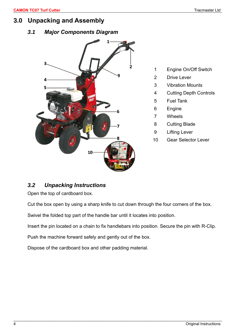## <span id="page-5-1"></span><span id="page-5-0"></span>**3.0 Unpacking and Assembly**

## *3.1 Major Components Diagram*



- 1 Engine On/Off Switch
- 2 Drive Lever
- 3 Vibration Mounts
- 4 Cutting Depth Controls
- 5 Fuel Tank
- 6 Engine
- 7 Wheels
- 8 Cutting Blade
- 9 Lifting Lever
- 10 Gear Selector Lever

## <span id="page-5-2"></span>*3.2 Unpacking Instructions*

Open the top of cardboard box.

Cut the box open by using a sharp knife to cut down through the four corners of the box.

Swivel the folded top part of the handle bar until it locates into position.

Insert the pin located on a chain to fix handlebars into position. Secure the pin with R-Clip.

Push the machine forward safely and gently out of the box.

Dispose of the cardboard box and other padding material.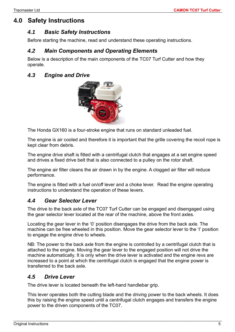# <span id="page-6-1"></span><span id="page-6-0"></span>**4.0 Safety Instructions**

## *4.1 Basic Safety Instructions*

<span id="page-6-2"></span>Before starting the machine, read and understand these operating instructions.

#### *4.2 Main Components and Operating Elements*

Below is a description of the main components of the TC07 Turf Cutter and how they operate.

#### <span id="page-6-3"></span>*4.3 Engine and Drive*



The Honda GX160 is a four-stroke engine that runs on standard unleaded fuel.

The engine is air cooled and therefore it is important that the grille covering the recoil rope is kept clear from debris.

The engine drive shaft is fitted with a centrifugal clutch that engages at a set engine speed and drives a fixed drive belt that is also connected to a pulley on the rotor shaft.

The engine air filter cleans the air drawn in by the engine. A clogged air filter will reduce performance.

The engine is fitted with a fuel on/off lever and a choke lever. Read the engine operating instructions to understand the operation of these levers.

## <span id="page-6-4"></span>*4.4 Gear Selector Lever*

The drive to the back axle of the TC07 Turf Cutter can be engaged and disengaged using the gear selector lever located at the rear of the machine, above the front axles.

Locating the gear lever in the '0' position disengages the drive from the back axle. The machine can be free wheeled in this position. Move the gear selector lever to the 'I' position to engage the engine drive to wheels.

NB: The power to the back axle from the engine is controlled by a centrifugal clutch that is attached to the engine. Moving the gear lever to the engaged position will not drive the machine automatically. It is only when the drive lever is activated and the engine revs are increased to a point at which the centrifugal clutch is engaged that the engine power is transferred to the back axle.

## <span id="page-6-5"></span>*4.5 Drive Lever*

The drive lever is located beneath the left-hand handlebar grip.

This lever operates both the cutting blade and the driving power to the back wheels. It does this by raising the engine speed until a centrifugal clutch engages and transfers the engine power to the driven components of the TC07.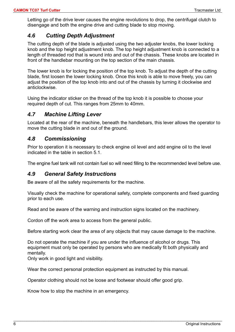Letting go of the drive lever causes the engine revolutions to drop, the centrifugal clutch to disengage and both the engine drive and cutting blade to stop moving.

#### <span id="page-7-0"></span>*4.6 Cutting Depth Adjustment*

The cutting depth of the blade is adjusted using the two adjuster knobs, the lower locking knob and the top height adjustment knob. The top height adjustment knob is connected to a length of threaded rod that is wound into and out of the chassis. These knobs are located in front of the handlebar mounting on the top section of the main chassis.

The lower knob is for locking the position of the top knob. To adjust the depth of the cutting blade, first loosen the lower locking knob. Once this knob is able to move freely, you can adjust the position of the top knob into and out of the chassis by turning it clockwise and anticlockwise.

Using the indicator sticker on the thread of the top knob it is possible to choose your required depth of cut. This ranges from 25mm to 40mm.

#### <span id="page-7-1"></span>*4.7 Machine Lifting Lever*

Located at the rear of the machine, beneath the handlebars, this lever allows the operator to move the cutting blade in and out of the ground.

#### <span id="page-7-2"></span>*4.8 Commissioning*

Prior to operation it is necessary to check engine oil level and add engine oil to the level indicated in the table in section 5.1.

<span id="page-7-3"></span>The engine fuel tank will not contain fuel so will need filling to the recommended level before use.

#### *4.9 General Safety Instructions*

Be aware of all the safety requirements for the machine.

Visually check the machine for operational safety, complete components and fixed guarding prior to each use.

Read and be aware of the warning and instruction signs located on the machinery.

Cordon off the work area to access from the general public.

Before starting work clear the area of any objects that may cause damage to the machine.

Do not operate the machine if you are under the influence of alcohol or drugs. This equipment must only be operated by persons who are medically fit both physically and mentally.

 $\mathcal{L}_\mathcal{L} = \{ \mathcal{L}_\mathcal{L} = \{ \mathcal{L}_\mathcal{L} = \{ \mathcal{L}_\mathcal{L} = \{ \mathcal{L}_\mathcal{L} = \{ \mathcal{L}_\mathcal{L} = \{ \mathcal{L}_\mathcal{L} = \{ \mathcal{L}_\mathcal{L} = \{ \mathcal{L}_\mathcal{L} = \{ \mathcal{L}_\mathcal{L} = \{ \mathcal{L}_\mathcal{L} = \{ \mathcal{L}_\mathcal{L} = \{ \mathcal{L}_\mathcal{L} = \{ \mathcal{L}_\mathcal{L} = \{ \mathcal{L}_\mathcal{$ 

Only work in good light and visibility.

Wear the correct personal protection equipment as instructed by this manual.

Operator clothing should not be loose and footwear should offer good grip.

Know how to stop the machine in an emergency.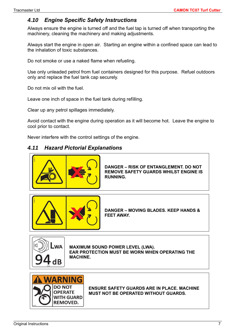## <span id="page-8-0"></span>*4.10 Engine Specific Safety Instructions*

Always ensure the engine is turned off and the fuel tap is turned off when transporting the machinery, cleaning the machinery and making adjustments.

Always start the engine in open air. Starting an engine within a confined space can lead to the inhalation of toxic substances.

Do not smoke or use a naked flame when refueling.

Use only unleaded petrol from fuel containers designed for this purpose. Refuel outdoors only and replace the fuel tank cap securely.

Do not mix oil with the fuel.

Leave one inch of space in the fuel tank during refilling.

Clear up any petrol spillages immediately.

Avoid contact with the engine during operation as it will become hot. Leave the engine to cool prior to contact.

Never interfere with the control settings of the engine.

## *4.11 Hazard Pictorial Explanations*



**DANGER – RISK OF ENTANGLEMENT. DO NOT REMOVE SAFETY GUARDS WHILST ENGINE IS RUNNING.**



**DANGER – MOVING BLADES. KEEP HANDS & FEET AWAY.**



**MAXIMUM SOUND POWER LEVEL (LWA). EAR PROTECTION MUST BE WORN WHEN OPERATING THE MACHINE.**



**ENSURE SAFETY GUARDS ARE IN PLACE. MACHINE MUST NOT BE OPERATED WITHOUT GUARDS.**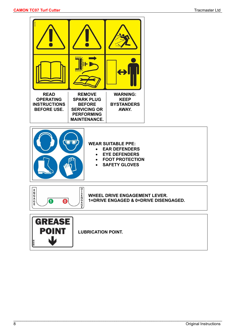



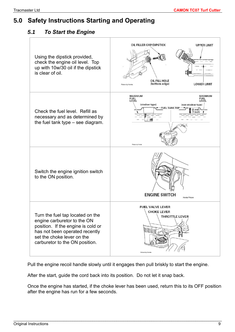# <span id="page-10-1"></span><span id="page-10-0"></span>**5.0 Safety Instructions Starting and Operating**

## *5.1 To Start the Engine*

| Using the dipstick provided,<br>check the engine oil level. Top<br>up with 10w/30 oil if the dipstick<br>is clear of oil.                                                                               | OIL FILLER CAP/DIPSTICK<br><b>UPPER LIMIT</b><br>OIL FILL HOLE<br>(bottom edge)<br><b>LOWER LIMIT</b><br>Picture by Honda                                                                               |
|---------------------------------------------------------------------------------------------------------------------------------------------------------------------------------------------------------|---------------------------------------------------------------------------------------------------------------------------------------------------------------------------------------------------------|
| Check the fuel level. Refill as<br>necessary and as determined by<br>the fuel tank type - see diagram.                                                                                                  | <b>MAXIMUM</b><br><b>MAXIMUM</b><br><b>FUEL</b><br><b>FUEL</b><br>LEVEL<br>LEVEL<br>(strainer type)<br>(non-strainer type)<br><b>FUEL TANK TOP</b><br>$25 \text{ mm}$<br>$(1$ inch)<br>Picture by Honda |
| Switch the engine ignition switch<br>to the ON position.                                                                                                                                                | <b>ENGINE SWITCH</b><br>Honda Picture                                                                                                                                                                   |
| Turn the fuel tap located on the<br>engine carburetor to the ON<br>position. If the engine is cold or<br>has not been operated recently<br>set the choke lever on the<br>carburetor to the ON position. | <b>FUEL VALVE LEVER</b><br><b>CHOKE LEVER</b><br>THROTTLE LEVER<br>Picture by Honda                                                                                                                     |

Pull the engine recoil handle slowly until it engages then pull briskly to start the engine.

\_\_\_\_\_\_\_\_\_\_\_\_\_\_\_\_\_\_\_\_\_\_\_\_\_\_\_\_\_\_\_\_\_\_\_\_\_\_\_\_\_\_\_\_\_\_\_\_\_\_\_\_\_\_\_\_\_\_\_\_\_\_\_\_\_\_\_\_\_\_\_\_\_\_\_\_\_\_\_\_\_\_\_\_\_\_\_\_\_\_\_\_\_\_\_

After the start, guide the cord back into its position. Do not let it snap back.

Once the engine has started, if the choke lever has been used, return this to its OFF position after the engine has run for a few seconds.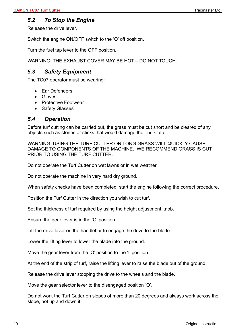## <span id="page-11-0"></span>*5.2 To Stop the Engine*

Release the drive lever.

Switch the engine ON/OFF switch to the 'O' off position.

Turn the fuel tap lever to the OFF position.

<span id="page-11-1"></span>WARNING: THE EXHAUST COVER MAY BE HOT – DO NOT TOUCH.

## *5.3 Safety Equipment*

The TC07 operator must be wearing:

- Ear Defenders
- Gloves
- Protective Footwear
- Safety Glasses

#### <span id="page-11-2"></span>*5.4 Operation*

Before turf cutting can be carried out, the grass must be cut short and be cleared of any objects such as stones or sticks that would damage the Turf Cutter.

WARNING: USING THE TURF CUTTER ON LONG GRASS WILL QUICKLY CAUSE DAMAGE TO COMPONENTS OF THE MACHINE. WE RECOMMEND GRASS IS CUT PRIOR TO USING THE TURF CUTTER.

Do not operate the Turf Cutter on wet lawns or in wet weather.

Do not operate the machine in very hard dry ground.

When safety checks have been completed, start the engine following the correct procedure.

Position the Turf Cutter in the direction you wish to cut turf.

Set the thickness of turf required by using the height adjustment knob.

Ensure the gear lever is in the 'O' position.

Lift the drive lever on the handlebar to engage the drive to the blade.

Lower the lifting lever to lower the blade into the ground.

Move the gear lever from the 'O' position to the 'I' position.

At the end of the strip of turf, raise the lifting lever to raise the blade out of the ground.

Release the drive lever stopping the drive to the wheels and the blade.

Move the gear selector lever to the disengaged position 'O'.

Do not work the Turf Cutter on slopes of more than 20 degrees and always work across the slope, not up and down it.

 $\mathcal{L}_\mathcal{L} = \{ \mathcal{L}_\mathcal{L} = \{ \mathcal{L}_\mathcal{L} = \{ \mathcal{L}_\mathcal{L} = \{ \mathcal{L}_\mathcal{L} = \{ \mathcal{L}_\mathcal{L} = \{ \mathcal{L}_\mathcal{L} = \{ \mathcal{L}_\mathcal{L} = \{ \mathcal{L}_\mathcal{L} = \{ \mathcal{L}_\mathcal{L} = \{ \mathcal{L}_\mathcal{L} = \{ \mathcal{L}_\mathcal{L} = \{ \mathcal{L}_\mathcal{L} = \{ \mathcal{L}_\mathcal{L} = \{ \mathcal{L}_\mathcal{$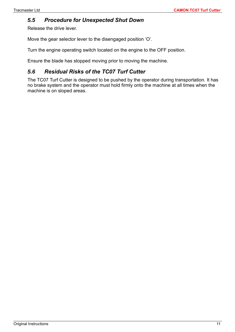## <span id="page-12-0"></span>*5.5 Procedure for Unexpected Shut Down*

Release the drive lever.

Move the gear selector lever to the disengaged position 'O'.

Turn the engine operating switch located on the engine to the OFF position.

Ensure the blade has stopped moving prior to moving the machine.

## <span id="page-12-1"></span>*5.6 Residual Risks of the TC07 Turf Cutter*

The TC07 Turf Cutter is designed to be pushed by the operator during transportation. It has no brake system and the operator must hold firmly onto the machine at all times when the machine is on sloped areas.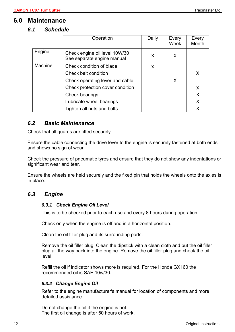## <span id="page-13-1"></span><span id="page-13-0"></span>**6.0 Maintenance**

#### *6.1 Schedule*

|         | Operation                                                   | Daily | Every<br>Week | Every<br>Month |
|---------|-------------------------------------------------------------|-------|---------------|----------------|
| Engine  | Check engine oil level 10W/30<br>See separate engine manual | X     | X             |                |
| Machine | Check condition of blade                                    | X.    |               |                |
|         | Check belt condition                                        |       |               | X              |
|         | Check operating lever and cable                             |       | X             |                |
|         | Check protection cover condition                            |       |               | X              |
|         | Check bearings                                              |       |               | X              |
|         | Lubricate wheel bearings                                    |       |               | X              |
|         | Tighten all nuts and bolts                                  |       |               | X              |

#### <span id="page-13-2"></span>*6.2 Basic Maintenance*

Check that all guards are fitted securely.

Ensure the cable connecting the drive lever to the engine is securely fastened at both ends and shows no sign of wear.

Check the pressure of pneumatic tyres and ensure that they do not show any indentations or significant wear and tear.

Ensure the wheels are held securely and the fixed pin that holds the wheels onto the axles is in place.

#### <span id="page-13-4"></span><span id="page-13-3"></span>*6.3 Engine*

#### *6.3.1 Check Engine Oil Level*

This is to be checked prior to each use and every 8 hours during operation.

Check only when the engine is off and in a horizontal position.

Clean the oil filler plug and its surrounding parts.

Remove the oil filler plug. Clean the dipstick with a clean cloth and put the oil filler plug all the way back into the engine. Remove the oil filler plug and check the oil level.

Refill the oil if indicator shows more is required. For the Honda GX160 the recommended oil is SAE 10w/30.

#### <span id="page-13-5"></span>*6.3.2 Change Engine Oil*

Refer to the engine manufacturer's manual for location of components and more detailed assistance.

Do not change the oil if the engine is hot. The first oil change is after 50 hours of work.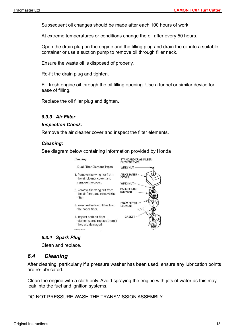Subsequent oil changes should be made after each 100 hours of work.

At extreme temperatures or conditions change the oil after every 50 hours.

Open the drain plug on the engine and the filling plug and drain the oil into a suitable container or use a suction pump to remove oil through filler neck.

Ensure the waste oil is disposed of properly.

Re-fit the drain plug and tighten.

Fill fresh engine oil through the oil filling opening. Use a funnel or similar device for ease of filling.

Replace the oil filler plug and tighten.

#### <span id="page-14-0"></span>*6.3.3 Air Filter*

#### *Inspection Check:*

Remove the air cleaner cover and inspect the filter elements.

#### *Cleaning:*

See diagram below containing information provided by Honda



#### *6.3.4 Spark Plug*

Clean and replace.

#### <span id="page-14-2"></span><span id="page-14-1"></span>*6.4 Cleaning*

After cleaning, particularly if a pressure washer has been used, ensure any lubrication points are re-lubricated.

Clean the engine with a cloth only. Avoid spraying the engine with jets of water as this may leak into the fuel and ignition systems.

\_\_\_\_\_\_\_\_\_\_\_\_\_\_\_\_\_\_\_\_\_\_\_\_\_\_\_\_\_\_\_\_\_\_\_\_\_\_\_\_\_\_\_\_\_\_\_\_\_\_\_\_\_\_\_\_\_\_\_\_\_\_\_\_\_\_\_\_\_\_\_\_\_\_\_\_\_\_\_\_\_\_\_\_\_\_\_\_\_\_\_\_\_\_\_

DO NOT PRESSURE WASH THE TRANSMISSION ASSEMBLY.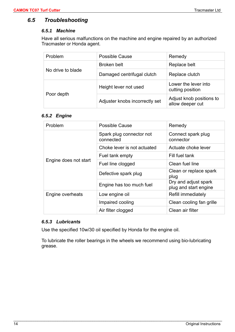## <span id="page-15-1"></span><span id="page-15-0"></span>*6.5 Troubleshooting*

#### *6.5.1 Machine*

Have all serious malfunctions on the machine and engine repaired by an authorized Tracmaster or Honda agent.

| Problem           | <b>Possible Cause</b>          | Remedy                                       |
|-------------------|--------------------------------|----------------------------------------------|
| No drive to blade | Broken belt                    | Replace belt                                 |
|                   | Damaged centrifugal clutch     | Replace clutch                               |
| Poor depth        | Height lever not used          | Lower the lever into<br>cutting position     |
|                   | Adjuster knobs incorrectly set | Adjust knob positions to<br>allow deeper cut |

#### <span id="page-15-2"></span>*6.5.2 Engine*

| Problem               | Possible Cause                        | Remedy                                        |
|-----------------------|---------------------------------------|-----------------------------------------------|
| Engine does not start | Spark plug connector not<br>connected | Connect spark plug<br>connector               |
|                       | Choke lever is not actuated           | Actuate choke lever                           |
|                       | Fuel tank empty                       | Fill fuel tank                                |
|                       | Fuel line clogged                     | Clean fuel line                               |
|                       | Defective spark plug                  | Clean or replace spark<br>plug                |
|                       | Engine has too much fuel              | Dry and adjust spark<br>plug and start engine |
| Engine overheats      | Low engine oil                        | Refill immediately                            |
|                       | Impaired cooling                      | Clean cooling fan grille                      |
|                       | Air filter clogged                    | Clean air filter                              |

#### <span id="page-15-3"></span>*6.5.3 Lubricants*

Use the specified 10w/30 oil specified by Honda for the engine oil.

To lubricate the roller bearings in the wheels we recommend using bio-lubricating grease.

 $\mathcal{L}_\mathcal{L} = \{ \mathcal{L}_\mathcal{L} = \{ \mathcal{L}_\mathcal{L} = \{ \mathcal{L}_\mathcal{L} = \{ \mathcal{L}_\mathcal{L} = \{ \mathcal{L}_\mathcal{L} = \{ \mathcal{L}_\mathcal{L} = \{ \mathcal{L}_\mathcal{L} = \{ \mathcal{L}_\mathcal{L} = \{ \mathcal{L}_\mathcal{L} = \{ \mathcal{L}_\mathcal{L} = \{ \mathcal{L}_\mathcal{L} = \{ \mathcal{L}_\mathcal{L} = \{ \mathcal{L}_\mathcal{L} = \{ \mathcal{L}_\mathcal{$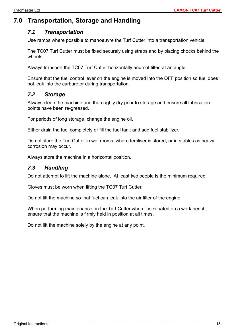# <span id="page-16-1"></span><span id="page-16-0"></span>**7.0 Transportation, Storage and Handling**

## *7.1 Transportation*

Use ramps where possible to manoeuvre the Turf Cutter into a transportation vehicle.

The TC07 Turf Cutter must be fixed securely using straps and by placing chocks behind the wheels.

Always transport the TC07 Turf Cutter horizontally and not tilted at an angle.

Ensure that the fuel control lever on the engine is moved into the OFF position so fuel does not leak into the carburetor during transportation.

## <span id="page-16-2"></span>*7.2 Storage*

Always clean the machine and thoroughly dry prior to storage and ensure all lubrication points have been re-greased.

For periods of long storage, change the engine oil.

Either drain the fuel completely or fill the fuel tank and add fuel stabilizer.

Do not store the Turf Cutter in wet rooms, where fertiliser is stored, or in stables as heavy corrosion may occur.

<span id="page-16-3"></span>Always store the machine in a horizontal position.

## *7.3 Handling*

Do not attempt to lift the machine alone. At least two people is the minimum required.

Gloves must be worn when lifting the TC07 Turf Cutter.

Do not tilt the machine so that fuel can leak into the air filter of the engine.

When performing maintenance on the Turf Cutter when it is situated on a work bench, ensure that the machine is firmly held in position at all times.

Do not lift the machine solely by the engine at any point.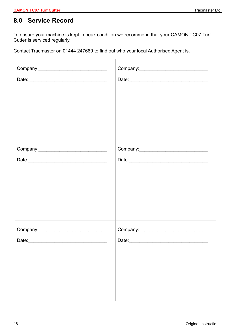## <span id="page-17-0"></span>**8.0 Service Record**

To ensure your machine is kept in peak condition we recommend that your CAMON TC07 Turf Cutter is serviced regularly.

Contact Tracmaster on 01444 247689 to find out who your local Authorised Agent is.

| Date: |
|-------|

 $\mathcal{L}_\mathcal{L} = \{ \mathcal{L}_\mathcal{L} = \{ \mathcal{L}_\mathcal{L} = \{ \mathcal{L}_\mathcal{L} = \{ \mathcal{L}_\mathcal{L} = \{ \mathcal{L}_\mathcal{L} = \{ \mathcal{L}_\mathcal{L} = \{ \mathcal{L}_\mathcal{L} = \{ \mathcal{L}_\mathcal{L} = \{ \mathcal{L}_\mathcal{L} = \{ \mathcal{L}_\mathcal{L} = \{ \mathcal{L}_\mathcal{L} = \{ \mathcal{L}_\mathcal{L} = \{ \mathcal{L}_\mathcal{L} = \{ \mathcal{L}_\mathcal{$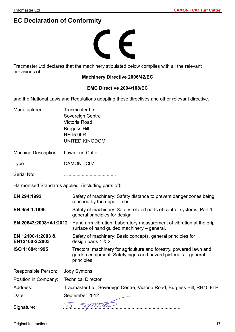# <span id="page-18-0"></span>**EC Declaration of Conformity**



Tracmaster Ltd declares that the machinery stipulated below complies with all the relevant provisions of:

#### **Machinery Directive 2006/42/EC**

#### **EMC Directive 2004/108/EC**

and the National Laws and Regulations adopting these directives and other relevant directive.

| Manufacturer:                       | <b>Tracmaster Ltd</b><br>Sovereign Centre<br>Victoria Road<br><b>Burgess Hill</b><br><b>RH15 9LR</b><br><b>UNITED KINGDOM</b>                       |
|-------------------------------------|-----------------------------------------------------------------------------------------------------------------------------------------------------|
| <b>Machine Description:</b>         | Lawn Turf Cutter                                                                                                                                    |
| Type:                               | <b>CAMON TC07</b>                                                                                                                                   |
| Serial No:                          |                                                                                                                                                     |
|                                     | Harmonised Standards applied: (including parts of):                                                                                                 |
| EN 294:1992                         | Safety of machinery: Safety distance to prevent danger zones being<br>reached by the upper limbs.                                                   |
| EN 954-1:1996                       | Safety of machinery: Safety related parts of control systems. Part 1 -<br>general principles for design.                                            |
| EN 20643:2008+A1:2012               | Hand arm vibration: Laboratory measurement of vibration at the grip<br>surface of hand guided machinery – general.                                  |
| EN 12100-1:2003 &<br>EN12100-2:2003 | Safety of machinery: Basic concepts, general principles for<br>design parts 1 & 2.                                                                  |
| ISO 11684:1995                      | Tractors, machinery for agriculture and forestry, powered lawn and<br>garden equipment: Safety signs and hazard pictorials - general<br>principles. |
| Responsible Person:                 | <b>Jody Symons</b>                                                                                                                                  |
| Position in Company:                | <b>Technical Director</b>                                                                                                                           |
| Address:                            | Tracmaster Ltd, Sovereign Centre, Victoria Road, Burgess Hill, RH15 9LR                                                                             |
| Date:                               | September 2012                                                                                                                                      |
| Signature:                          |                                                                                                                                                     |